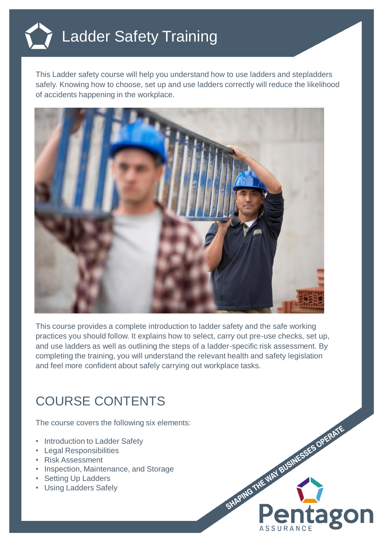

This Ladder safety course will help you understand how to use ladders and stepladders safely. Knowing how to choose, set up and use ladders correctly will reduce the likelihood of accidents happening in the workplace.



This course provides a complete introduction to ladder safety and the safe working practices you should follow. It explains how to select, carry out pre-use checks, set up, and use ladders as well as outlining the steps of a ladder-specific risk assessment. By completing the training, you will understand the relevant health and safety legislation and feel more confident about safely carrying out workplace tasks.

## COURSE CONTENTS

The course covers the following six elements:

- Introduction to Ladder Safety
- Legal Responsibilities
- Risk Assessment
- Inspection, Maintenance, and Storage
- Setting Up Ladders
- Using Ladders Safely